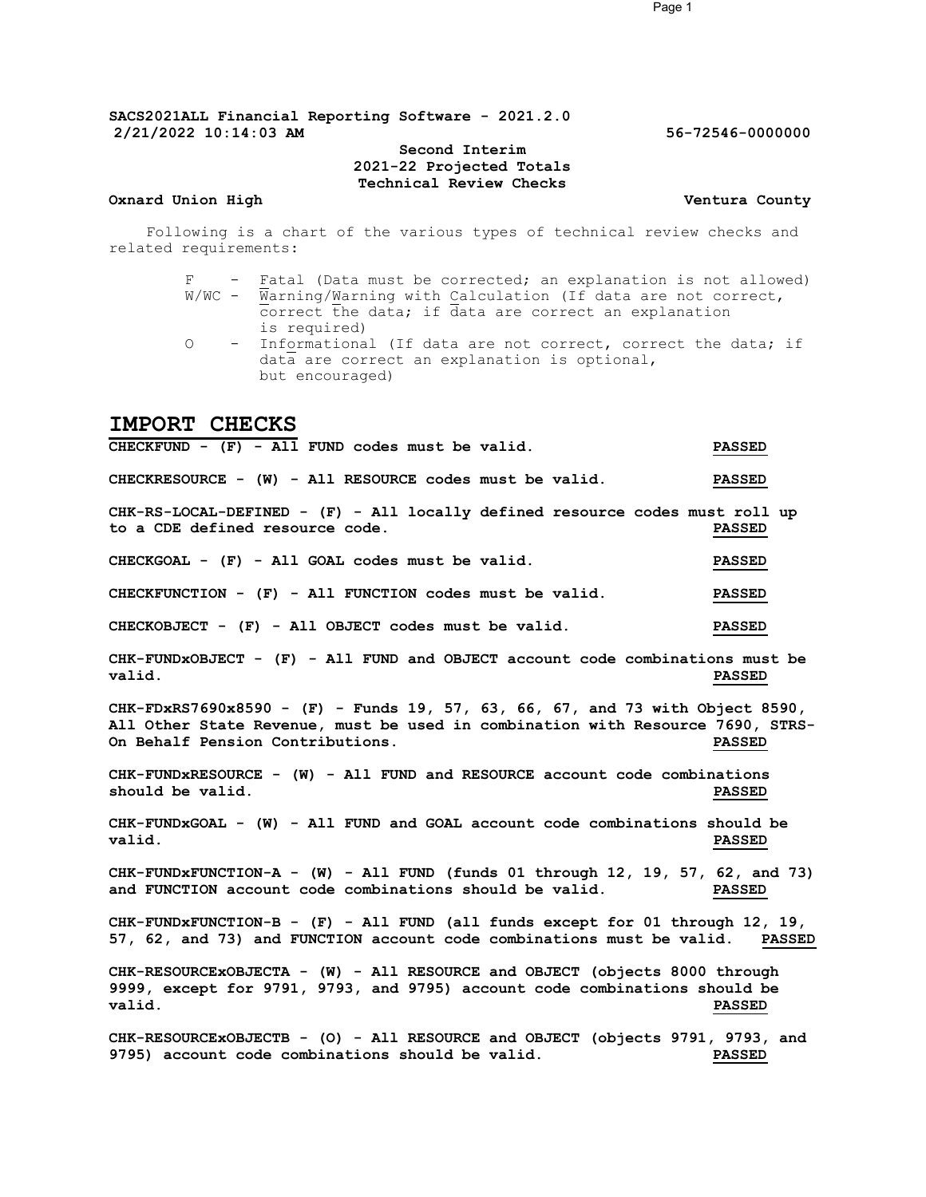### Second Interim 2021-22 Projected Totals Technical Review Checks

#### Oxnard Union High Ventura County

Following is a chart of the various types of technical review checks and related requirements:

- F Fatal (Data must be corrected; an explanation is not allowed)  $W/WC$  -  $\overline{W}$ arning/ $W$ arning with Calculation (If data are not correct, correct the data; if data are correct an explanation is required)
- O Informational (If data are not correct, correct the data; if data are correct an explanation is optional, but encouraged)

# IMPORT CHECKS

CHECKFUND - (F) - All FUND codes must be valid. PASSED CHECKRESOURCE - (W) - All RESOURCE codes must be valid. PASSED CHK-RS-LOCAL-DEFINED - (F) - All locally defined resource codes must roll up to a CDE defined resource code. PASSED CHECKGOAL - (F) - All GOAL codes must be valid. PASSED CHECKFUNCTION - (F) - All FUNCTION codes must be valid. PASSED CHECKOBJECT - (F) - All OBJECT codes must be valid. PASSED CHK-FUNDxOBJECT - (F) - All FUND and OBJECT account code combinations must be valid. PASSED CHK-FDxRS7690x8590 - (F) - Funds 19, 57, 63, 66, 67, and 73 with Object 8590, All Other State Revenue, must be used in combination with Resource 7690, STRS-<br>On Behalf Pension Contributions. This resource a passed On Behalf Pension Contributions. CHK-FUNDxRESOURCE - (W) - All FUND and RESOURCE account code combinations should be valid. The value of the state of the state of the state of the state of the state of the state of the state of the state of the state of the state of the state of the state of the state of the state of the state CHK-FUNDxGOAL - (W) - All FUND and GOAL account code combinations should be valid. PASSED CHK-FUNDxFUNCTION-A - (W) - All FUND (funds 01 through 12, 19, 57, 62, and 73) and FUNCTION account code combinations should be valid. PASSED CHK-FUNDxFUNCTION-B - (F) - All FUND (all funds except for 01 through 12, 19, 57, 62, and 73) and FUNCTION account code combinations must be valid. PASSED CHK-RESOURCExOBJECTA - (W) - All RESOURCE and OBJECT (objects 8000 through 9999, except for 9791, 9793, and 9795) account code combinations should be valid. PASSED CHK-RESOURCEXOBJECTB - (O) - All RESOURCE and OBJECT (objects 9791, 9793, and 9795) cccount code combinations should be valid. 9795) account code combinations should be valid.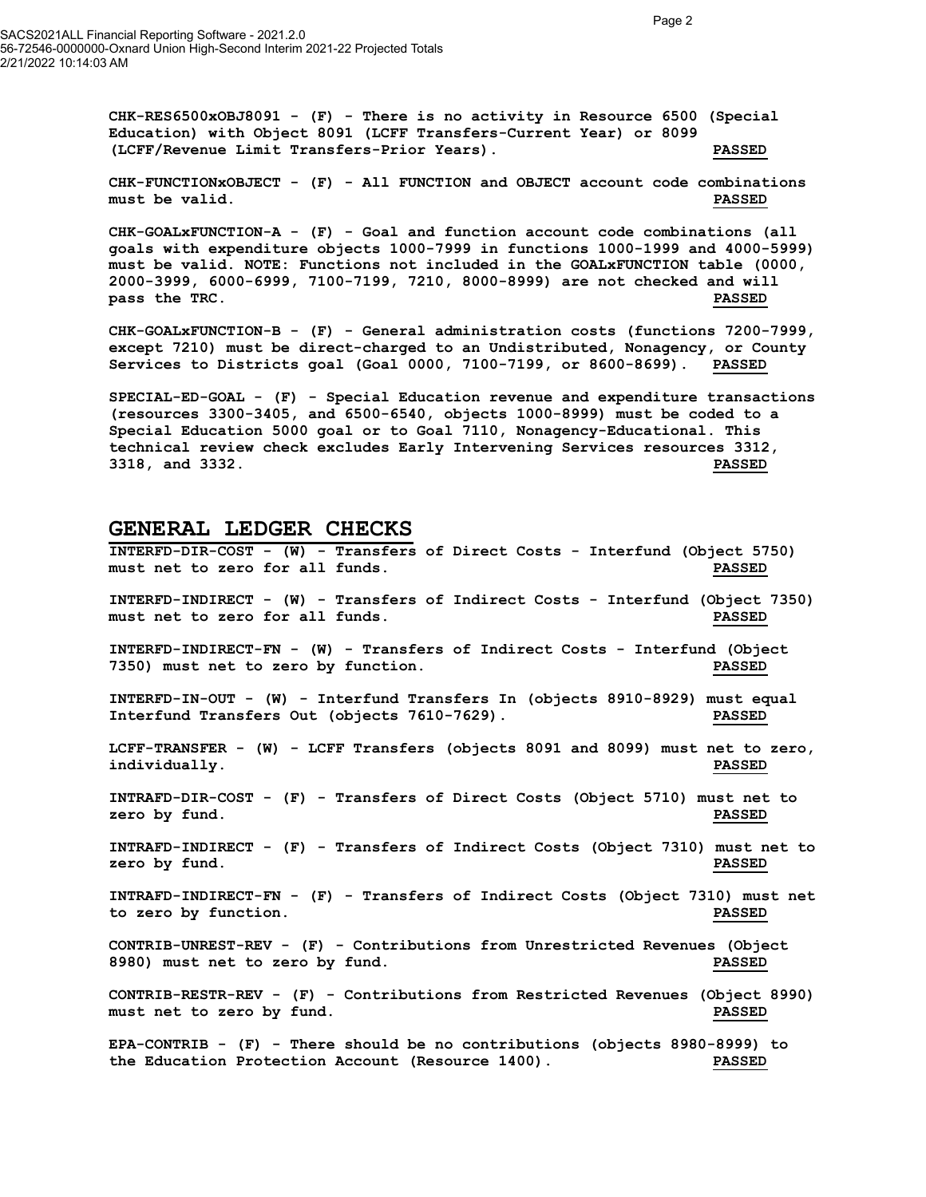$CHK-RES6500xOBJ8091$  - (F) - There is no activity in Resource 6500 (Special Education) with Object 8091 (LCFF Transfers-Current Year) or 8099 (LCFF/Revenue Limit Transfers-Prior Years). PASSED

CHK-FUNCTIONxOBJECT - (F) - All FUNCTION and OBJECT account code combinations must be valid. PASSED

CHK-GOALxFUNCTION-A - (F) - Goal and function account code combinations (all goals with expenditure objects 1000-7999 in functions 1000-1999 and 4000-5999) must be valid. NOTE: Functions not included in the GOALxFUNCTION table (0000, 2000-3999, 6000-6999, 7100-7199, 7210, 8000-8999) are not checked and will pass the TRC. The Communication of the Communication of the Communication of the Communication of the Communication of the Communication of the Communication of the Communication of the Communication of the Communication o

CHK-GOALxFUNCTION-B - (F) - General administration costs (functions 7200-7999, except 7210) must be direct-charged to an Undistributed, Nonagency, or County Services to Districts goal (Goal 0000, 7100-7199, or 8600-8699). PASSED

SPECIAL-ED-GOAL - (F) - Special Education revenue and expenditure transactions (resources 3300-3405, and 6500-6540, objects 1000-8999) must be coded to a Special Education 5000 goal or to Goal 7110, Nonagency-Educational. This technical review check excludes Early Intervening Services resources 3312, 3318, and 3332. PASSED

## GENERAL LEDGER CHECKS

INTERFD-DIR-COST - (W) - Transfers of Direct Costs - Interfund (Object 5750) must net to zero for all funds. PASSED INTERFD-INDIRECT - (W) - Transfers of Indirect Costs - Interfund (Object 7350) must net to zero for all funds. PASSED INTERFD-INDIRECT-FN - (W) - Transfers of Indirect Costs - Interfund (Object 7350) must net to zero by function. PASSED INTERFD-IN-OUT - (W) - Interfund Transfers In (objects 8910-8929) must equal Interfund Transfers Out (objects 7610-7629). PASSED LCFF-TRANSFER - (W) - LCFF Transfers (objects 8091 and 8099) must net to zero, individually. PASSED INTRAFD-DIR-COST - (F) - Transfers of Direct Costs (Object 5710) must net to zero by fund. Notice that the set of the set of the set of the set of the set of the set of the set of the set o INTRAFD-INDIRECT - (F) - Transfers of Indirect Costs (Object 7310) must net to zero by fund. Notice that the extent of the extent of the extent of the extent of the extent of the extent of the extent of the extent of the extent of the extent of the extent of the extent of the extent of the extent of INTRAFD-INDIRECT-FN - (F) - Transfers of Indirect Costs (Object 7310) must net to zero by function. PASSED CONTRIB-UNREST-REV - (F) - Contributions from Unrestricted Revenues (Object 8980) must net to zero by fund. PASSED CONTRIB-RESTR-REV - (F) - Contributions from Restricted Revenues (Object 8990) must net to zero by fund. The set of the set of the set of the set of the set of the set of the set of the set of the set of the set of the set of the set of the set of the set of the set of the set of the set of the set o EPA-CONTRIB - (F) - There should be no contributions (objects 8980-8999) to

the Education Protection Account (Resource 1400). PASSED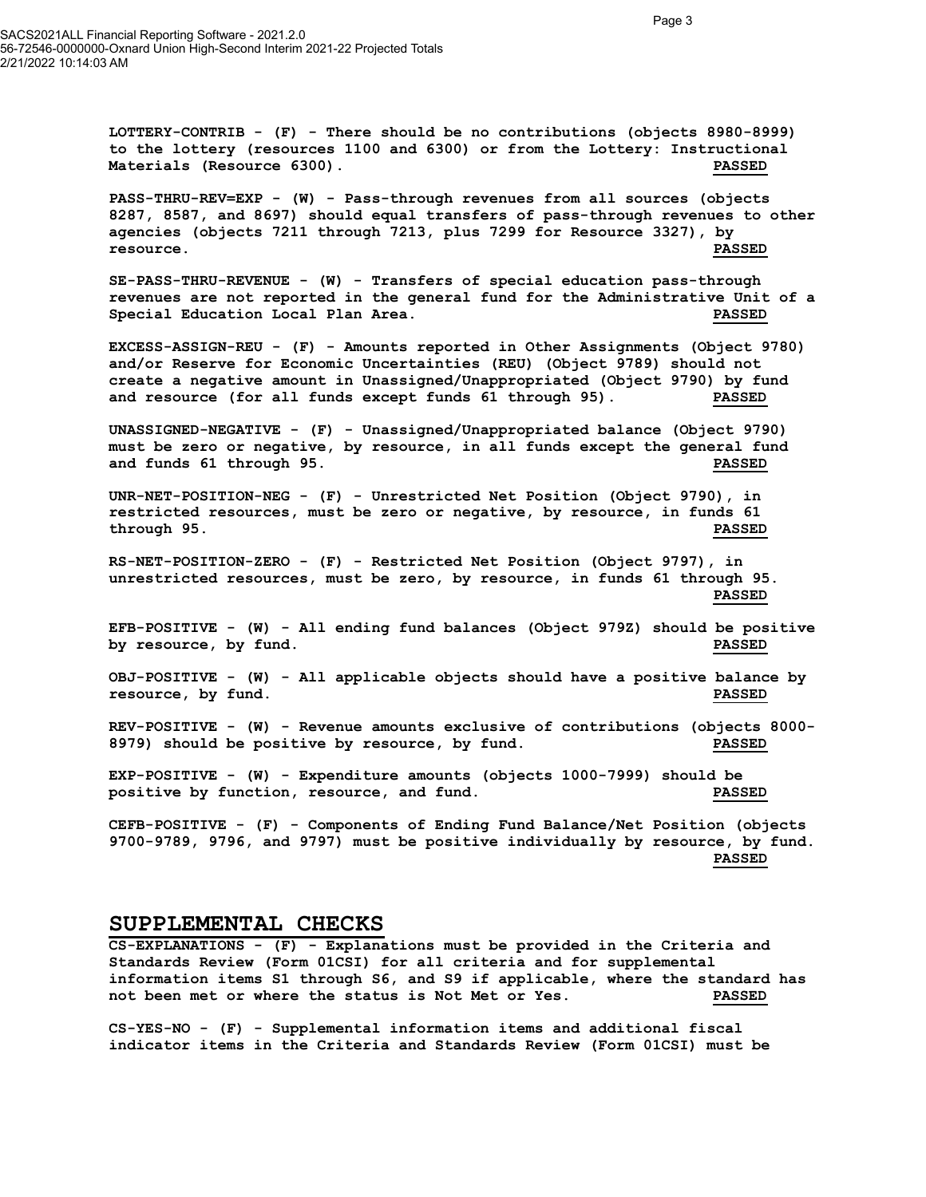LOTTERY-CONTRIB - (F) - There should be no contributions (objects 8980-8999) to the lottery (resources 1100 and 6300) or from the Lottery: Instructional Materials (Resource 6300). PASSED

PASS-THRU-REV=EXP - (W) - Pass-through revenues from all sources (objects 8287, 8587, and 8697) should equal transfers of pass-through revenues to other agencies (objects 7211 through 7213, plus 7299 for Resource 3327), by resource. PASSED

SE-PASS-THRU-REVENUE - (W) - Transfers of special education pass-through revenues are not reported in the general fund for the Administrative Unit of a Special Education Local Plan Area. PASSED

EXCESS-ASSIGN-REU - (F) - Amounts reported in Other Assignments (Object 9780) and/or Reserve for Economic Uncertainties (REU) (Object 9789) should not create a negative amount in Unassigned/Unappropriated (Object 9790) by fund and resource (for all funds except funds 61 through 95). PASSED

UNASSIGNED-NEGATIVE - (F) - Unassigned/Unappropriated balance (Object 9790) must be zero or negative, by resource, in all funds except the general fund and funds 61 through 95. PASSED

UNR-NET-POSITION-NEG - (F) - Unrestricted Net Position (Object 9790), in restricted resources, must be zero or negative, by resource, in funds 61 through 95. PASSED

RS-NET-POSITION-ZERO - (F) - Restricted Net Position (Object 9797), in unrestricted resources, must be zero, by resource, in funds 61 through 95. PASSED

EFB-POSITIVE - (W) - All ending fund balances (Object 979Z) should be positive by resource, by fund. PASSED

OBJ-POSITIVE - (W) - All applicable objects should have a positive balance by resource, by fund. PASSED

REV-POSITIVE - (W) - Revenue amounts exclusive of contributions (objects 8000- 8979) should be positive by resource, by fund. PASSED

EXP-POSITIVE - (W) - Expenditure amounts (objects 1000-7999) should be positive by function, resource, and fund. PASSED

CEFB-POSITIVE - (F) - Components of Ending Fund Balance/Net Position (objects 9700-9789, 9796, and 9797) must be positive individually by resource, by fund. PASSED

#### SUPPLEMENTAL CHECKS

CS-EXPLANATIONS - (F) - Explanations must be provided in the Criteria and Standards Review (Form 01CSI) for all criteria and for supplemental information items S1 through S6, and S9 if applicable, where the standard has not been met or where the status is Not Met or Yes. PASSED

CS-YES-NO - (F) - Supplemental information items and additional fiscal indicator items in the Criteria and Standards Review (Form 01CSI) must be